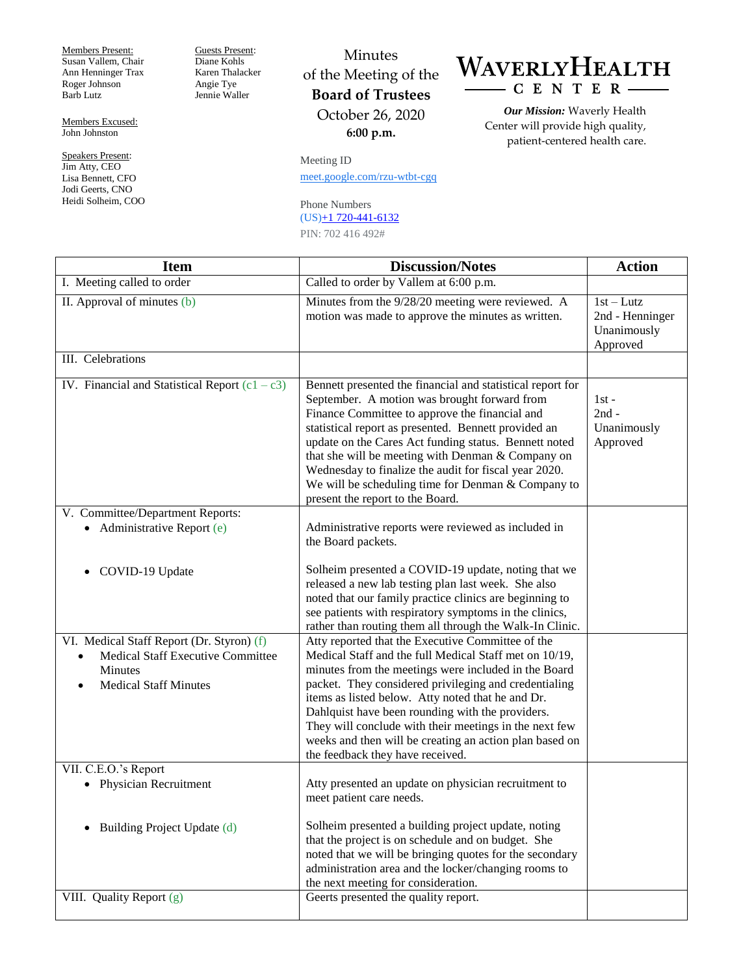Members Present: Susan Vallem, Chair Ann Henninger Trax Roger Johnson Barb Lutz

Members Excused: John Johnston

Speakers Present: Jim Atty, CEO Lisa Bennett, CFO Jodi Geerts, CNO Heidi Solheim, COO Guests Present: Diane Kohls Karen Thalacker Angie Tye Jennie Waller

## Minutes of the Meeting of the **Board of Trustees** October 26, 2020 **6:00 p.m.**

Meeting ID [meet.google.com/rzu-wtbt-cgq](https://meet.google.com/rzu-wtbt-cgq?hs=122&authuser=0)

Phone Numbers (US)+1 [720-441-6132](tel:%E2%80%AA+1%20720-441-6132%E2%80%AC) PIN: 702 416 492#

WAVERLYHEALTH CENTER-

> *Our Mission:* Waverly Health Center will provide high quality, patient-centered health care.

| <b>Item</b>                                                                                                                      | <b>Discussion/Notes</b>                                                                                                                                                                                                                                                                                                                                                                                                                                                                        | <b>Action</b>                                            |
|----------------------------------------------------------------------------------------------------------------------------------|------------------------------------------------------------------------------------------------------------------------------------------------------------------------------------------------------------------------------------------------------------------------------------------------------------------------------------------------------------------------------------------------------------------------------------------------------------------------------------------------|----------------------------------------------------------|
| I. Meeting called to order                                                                                                       | Called to order by Vallem at 6:00 p.m.                                                                                                                                                                                                                                                                                                                                                                                                                                                         |                                                          |
| II. Approval of minutes (b)                                                                                                      | Minutes from the 9/28/20 meeting were reviewed. A<br>motion was made to approve the minutes as written.                                                                                                                                                                                                                                                                                                                                                                                        | $1st-Lutz$<br>2nd - Henninger<br>Unanimously<br>Approved |
| III. Celebrations                                                                                                                |                                                                                                                                                                                                                                                                                                                                                                                                                                                                                                |                                                          |
| IV. Financial and Statistical Report $(c1 - c3)$                                                                                 | Bennett presented the financial and statistical report for<br>September. A motion was brought forward from<br>Finance Committee to approve the financial and<br>statistical report as presented. Bennett provided an<br>update on the Cares Act funding status. Bennett noted<br>that she will be meeting with Denman & Company on<br>Wednesday to finalize the audit for fiscal year 2020.<br>We will be scheduling time for Denman $&$ Company to<br>present the report to the Board.        | $1st -$<br>$2nd -$<br>Unanimously<br>Approved            |
| V. Committee/Department Reports:                                                                                                 |                                                                                                                                                                                                                                                                                                                                                                                                                                                                                                |                                                          |
| • Administrative Report $(e)$                                                                                                    | Administrative reports were reviewed as included in<br>the Board packets.                                                                                                                                                                                                                                                                                                                                                                                                                      |                                                          |
| COVID-19 Update                                                                                                                  | Solheim presented a COVID-19 update, noting that we<br>released a new lab testing plan last week. She also<br>noted that our family practice clinics are beginning to<br>see patients with respiratory symptoms in the clinics,<br>rather than routing them all through the Walk-In Clinic.                                                                                                                                                                                                    |                                                          |
| VI. Medical Staff Report (Dr. Styron) (f)<br>Medical Staff Executive Committee<br><b>Minutes</b><br><b>Medical Staff Minutes</b> | Atty reported that the Executive Committee of the<br>Medical Staff and the full Medical Staff met on 10/19,<br>minutes from the meetings were included in the Board<br>packet. They considered privileging and credentialing<br>items as listed below. Atty noted that he and Dr.<br>Dahlquist have been rounding with the providers.<br>They will conclude with their meetings in the next few<br>weeks and then will be creating an action plan based on<br>the feedback they have received. |                                                          |
| VII. C.E.O.'s Report                                                                                                             |                                                                                                                                                                                                                                                                                                                                                                                                                                                                                                |                                                          |
| <b>Physician Recruitment</b>                                                                                                     | Atty presented an update on physician recruitment to<br>meet patient care needs.<br>Solheim presented a building project update, noting                                                                                                                                                                                                                                                                                                                                                        |                                                          |
| Building Project Update (d)                                                                                                      | that the project is on schedule and on budget. She<br>noted that we will be bringing quotes for the secondary<br>administration area and the locker/changing rooms to<br>the next meeting for consideration.                                                                                                                                                                                                                                                                                   |                                                          |
| VIII. Quality Report (g)                                                                                                         | Geerts presented the quality report.                                                                                                                                                                                                                                                                                                                                                                                                                                                           |                                                          |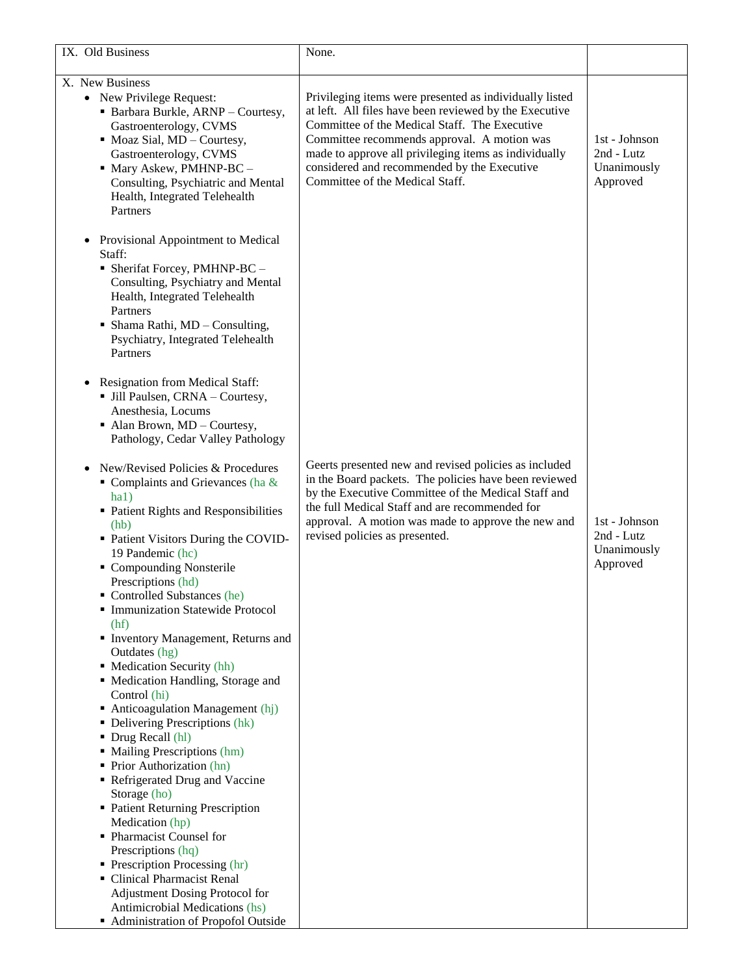| IX. Old Business                                                                                                                                                                                                                                                                                                                                                                                                                                                                                                                                                                                                                                                                                                                                                                                                                                                                                   | None.                                                                                                                                                                                                                                                                                                                                                        |                                                        |
|----------------------------------------------------------------------------------------------------------------------------------------------------------------------------------------------------------------------------------------------------------------------------------------------------------------------------------------------------------------------------------------------------------------------------------------------------------------------------------------------------------------------------------------------------------------------------------------------------------------------------------------------------------------------------------------------------------------------------------------------------------------------------------------------------------------------------------------------------------------------------------------------------|--------------------------------------------------------------------------------------------------------------------------------------------------------------------------------------------------------------------------------------------------------------------------------------------------------------------------------------------------------------|--------------------------------------------------------|
| X. New Business                                                                                                                                                                                                                                                                                                                                                                                                                                                                                                                                                                                                                                                                                                                                                                                                                                                                                    |                                                                                                                                                                                                                                                                                                                                                              |                                                        |
| • New Privilege Request:<br>• Barbara Burkle, ARNP - Courtesy,<br>Gastroenterology, CVMS<br>$\blacksquare$ Moaz Sial, MD – Courtesy,<br>Gastroenterology, CVMS<br>• Mary Askew, PMHNP-BC -<br>Consulting, Psychiatric and Mental<br>Health, Integrated Telehealth<br>Partners                                                                                                                                                                                                                                                                                                                                                                                                                                                                                                                                                                                                                      | Privileging items were presented as individually listed<br>at left. All files have been reviewed by the Executive<br>Committee of the Medical Staff. The Executive<br>Committee recommends approval. A motion was<br>made to approve all privileging items as individually<br>considered and recommended by the Executive<br>Committee of the Medical Staff. | 1st - Johnson<br>2nd - Lutz<br>Unanimously<br>Approved |
| Provisional Appointment to Medical<br>$\bullet$<br>Staff:<br>• Sherifat Forcey, PMHNP-BC -<br>Consulting, Psychiatry and Mental<br>Health, Integrated Telehealth<br>Partners<br>$\blacksquare$ Shama Rathi, MD - Consulting,<br>Psychiatry, Integrated Telehealth<br>Partners<br>Resignation from Medical Staff:<br>• Jill Paulsen, CRNA - Courtesy,                                                                                                                                                                                                                                                                                                                                                                                                                                                                                                                                               |                                                                                                                                                                                                                                                                                                                                                              |                                                        |
| Anesthesia, Locums<br>$\blacksquare$ Alan Brown, MD – Courtesy,<br>Pathology, Cedar Valley Pathology                                                                                                                                                                                                                                                                                                                                                                                                                                                                                                                                                                                                                                                                                                                                                                                               |                                                                                                                                                                                                                                                                                                                                                              |                                                        |
| New/Revised Policies & Procedures<br>$\blacksquare$ Complaints and Grievances (ha &<br>ha1)<br>• Patient Rights and Responsibilities<br>(hb)<br>• Patient Visitors During the COVID-<br>19 Pandemic (hc)<br>• Compounding Nonsterile<br>Prescriptions (hd)<br>• Controlled Substances (he)<br>• Immunization Statewide Protocol<br>(hf)<br>Inventory Management, Returns and<br>Outdates (hg)<br>• Medication Security (hh)<br>• Medication Handling, Storage and<br>Control (hi)<br>$\blacksquare$ Anticoagulation Management (hj)<br>• Delivering Prescriptions (hk)<br>• Drug Recall (hl)<br>• Mailing Prescriptions (hm)<br>• Prior Authorization (hn)<br>Refrigerated Drug and Vaccine<br>Storage (ho)<br>• Patient Returning Prescription<br>Medication (hp)<br>• Pharmacist Counsel for<br>Prescriptions (hq)<br>$\blacksquare$ Prescription Processing (hr)<br>• Clinical Pharmacist Renal | Geerts presented new and revised policies as included<br>in the Board packets. The policies have been reviewed<br>by the Executive Committee of the Medical Staff and<br>the full Medical Staff and are recommended for<br>approval. A motion was made to approve the new and<br>revised policies as presented.                                              | 1st - Johnson<br>2nd - Lutz<br>Unanimously<br>Approved |
| Adjustment Dosing Protocol for<br>Antimicrobial Medications (hs)<br>Administration of Propofol Outside                                                                                                                                                                                                                                                                                                                                                                                                                                                                                                                                                                                                                                                                                                                                                                                             |                                                                                                                                                                                                                                                                                                                                                              |                                                        |